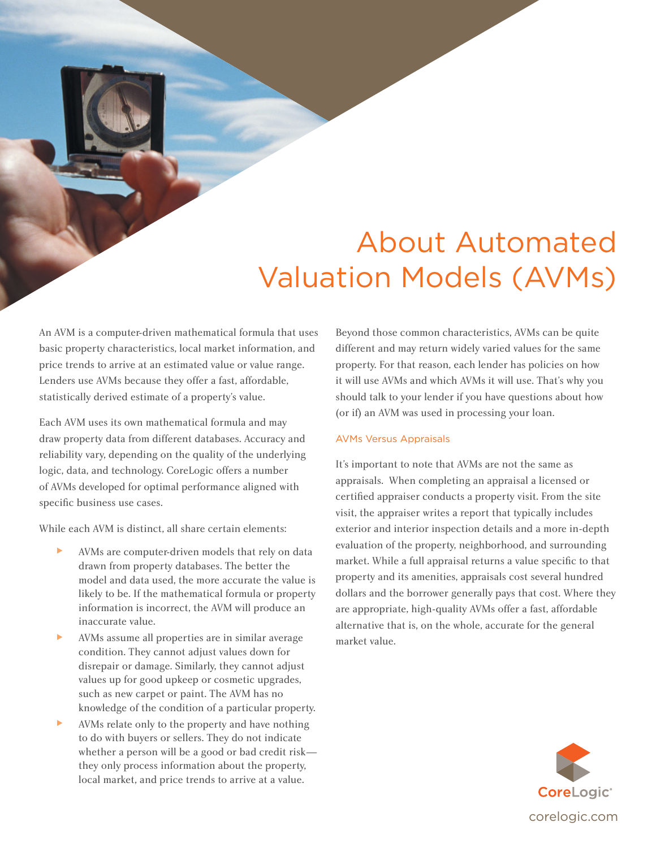# About Automated Valuation Models (AVMs)

An AVM is a computer-driven mathematical formula that uses basic property characteristics, local market information, and price trends to arrive at an estimated value or value range. Lenders use AVMs because they offer a fast, affordable, statistically derived estimate of a property's value.

Each AVM uses its own mathematical formula and may draw property data from different databases. Accuracy and reliability vary, depending on the quality of the underlying logic, data, and technology. CoreLogic offers a number of AVMs developed for optimal performance aligned with specific business use cases.

While each AVM is distinct, all share certain elements:

- AVMs are computer-driven models that rely on data drawn from property databases. The better the model and data used, the more accurate the value is likely to be. If the mathematical formula or property information is incorrect, the AVM will produce an inaccurate value.
- ► AVMs assume all properties are in similar average condition. They cannot adjust values down for disrepair or damage. Similarly, they cannot adjust values up for good upkeep or cosmetic upgrades, such as new carpet or paint. The AVM has no knowledge of the condition of a particular property.
- AVMs relate only to the property and have nothing to do with buyers or sellers. They do not indicate whether a person will be a good or bad credit risk they only process information about the property, local market, and price trends to arrive at a value.

Beyond those common characteristics, AVMs can be quite different and may return widely varied values for the same property. For that reason, each lender has policies on how it will use AVMs and which AVMs it will use. That's why you should talk to your lender if you have questions about how (or if) an AVM was used in processing your loan.

# AVMs Versus Appraisals

It's important to note that AVMs are not the same as appraisals. When completing an appraisal a licensed or certified appraiser conducts a property visit. From the site visit, the appraiser writes a report that typically includes exterior and interior inspection details and a more in-depth evaluation of the property, neighborhood, and surrounding market. While a full appraisal returns a value specific to that property and its amenities, appraisals cost several hundred dollars and the borrower generally pays that cost. Where they are appropriate, high-quality AVMs offer a fast, affordable alternative that is, on the whole, accurate for the general market value.

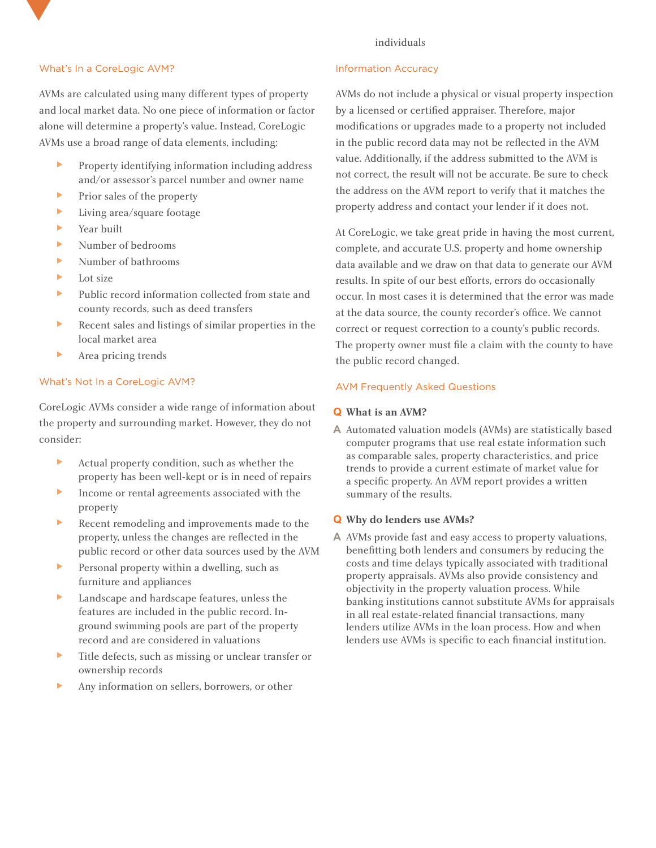## individuals

## What's In a CoreLogic AVM?

AVMs are calculated using many different types of property and local market data. No one piece of information or factor alone will determine a property's value. Instead, CoreLogic AVMs use a broad range of data elements, including:

- ► Property identifying information including address and/or assessor's parcel number and owner name
- ► Prior sales of the property
- ► Living area/square footage
- ► Year built
- ► Number of bedrooms
- ► Number of bathrooms
- Lot size
- ► Public record information collected from state and county records, such as deed transfers
- ► Recent sales and listings of similar properties in the local market area
- ► Area pricing trends

# What's Not In a CoreLogic AVM?

CoreLogic AVMs consider a wide range of information about the property and surrounding market. However, they do not consider:

- ► Actual property condition, such as whether the property has been well-kept or is in need of repairs
- ► Income or rental agreements associated with the property
- ► Recent remodeling and improvements made to the property, unless the changes are reflected in the public record or other data sources used by the AVM
- ► Personal property within a dwelling, such as furniture and appliances
- ► Landscape and hardscape features, unless the features are included in the public record. Inground swimming pools are part of the property record and are considered in valuations
- ► Title defects, such as missing or unclear transfer or ownership records
- ► Any information on sellers, borrowers, or other

#### Information Accuracy

AVMs do not include a physical or visual property inspection by a licensed or certified appraiser. Therefore, major modifications or upgrades made to a property not included in the public record data may not be reflected in the AVM value. Additionally, if the address submitted to the AVM is not correct, the result will not be accurate. Be sure to check the address on the AVM report to verify that it matches the property address and contact your lender if it does not.

At CoreLogic, we take great pride in having the most current, complete, and accurate U.S. property and home ownership data available and we draw on that data to generate our AVM results. In spite of our best efforts, errors do occasionally occur. In most cases it is determined that the error was made at the data source, the county recorder's office. We cannot correct or request correction to a county's public records. The property owner must file a claim with the county to have the public record changed.

### AVM Frequently Asked Questions

#### **Q What is an AVM?**

**A** Automated valuation models (AVMs) are statistically based computer programs that use real estate information such as comparable sales, property characteristics, and price trends to provide a current estimate of market value for a specific property. An AVM report provides a written summary of the results.

#### **Q Why do lenders use AVMs?**

**A** AVMs provide fast and easy access to property valuations, benefitting both lenders and consumers by reducing the costs and time delays typically associated with traditional property appraisals. AVMs also provide consistency and objectivity in the property valuation process. While banking institutions cannot substitute AVMs for appraisals in all real estate-related financial transactions, many lenders utilize AVMs in the loan process. How and when lenders use AVMs is specific to each financial institution.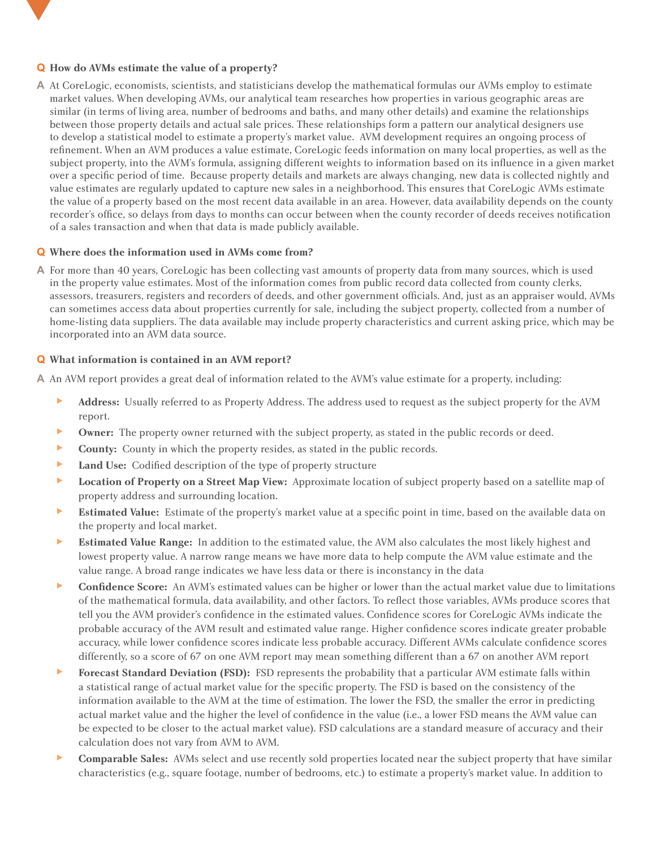# **Q How do AVMs estimate the value of a property?**

**A** At CoreLogic, economists, scientists, and statisticians develop the mathematical formulas our AVMs employ to estimate market values. When developing AVMs, our analytical team researches how properties in various geographic areas are similar (in terms of living area, number of bedrooms and baths, and many other details) and examine the relationships between those property details and actual sale prices. These relationships form a pattern our analytical designers use to develop a statistical model to estimate a property's market value. AVM development requires an ongoing process of refinement. When an AVM produces a value estimate, CoreLogic feeds information on many local properties, as well as the subject property, into the AVM's formula, assigning different weights to information based on its influence in a given market over a specific period of time. Because property details and markets are always changing, new data is collected nightly and value estimates are regularly updated to capture new sales in a neighborhood. This ensures that CoreLogic AVMs estimate the value of a property based on the most recent data available in an area. However, data availability depends on the county recorder's office, so delays from days to months can occur between when the county recorder of deeds receives notification of a sales transaction and when that data is made publicly available.

# **Q Where does the information used in AVMs come from?**

**A** For more than 40 years, CoreLogic has been collecting vast amounts of property data from many sources, which is used in the property value estimates. Most of the information comes from public record data collected from county clerks, assessors, treasurers, registers and recorders of deeds, and other government officials. And, just as an appraiser would, AVMs can sometimes access data about properties currently for sale, including the subject property, collected from a number of home-listing data suppliers. The data available may include property characteristics and current asking price, which may be incorporated into an AVM data source.

# **Q What information is contained in an AVM report?**

**A** An AVM report provides a great deal of information related to the AVM's value estimate for a property, including:

- Address: Usually referred to as Property Address. The address used to request as the subject property for the AVM report.
- ► **Owner:** The property owner returned with the subject property, as stated in the public records or deed.
- ► **County:** County in which the property resides, as stated in the public records.
- ► **Land Use:** Codified description of the type of property structure
- ► **Location of Property on a Street Map View:** Approximate location of subject property based on a satellite map of property address and surrounding location.
- ► **Estimated Value:** Estimate of the property's market value at a specific point in time, based on the available data on the property and local market.
- ► **Estimated Value Range:** In addition to the estimated value, the AVM also calculates the most likely highest and lowest property value. A narrow range means we have more data to help compute the AVM value estimate and the value range. A broad range indicates we have less data or there is inconstancy in the data
- ► **Confidence Score:** An AVM's estimated values can be higher or lower than the actual market value due to limitations of the mathematical formula, data availability, and other factors. To reflect those variables, AVMs produce scores that tell you the AVM provider's confidence in the estimated values. Confidence scores for CoreLogic AVMs indicate the probable accuracy of the AVM result and estimated value range. Higher confidence scores indicate greater probable accuracy, while lower confidence scores indicate less probable accuracy. Different AVMs calculate confidence scores differently, so a score of 67 on one AVM report may mean something different than a 67 on another AVM report
- ► **Forecast Standard Deviation (FSD):** FSD represents the probability that a particular AVM estimate falls within a statistical range of actual market value for the specific property. The FSD is based on the consistency of the information available to the AVM at the time of estimation. The lower the FSD, the smaller the error in predicting actual market value and the higher the level of confidence in the value (i.e., a lower FSD means the AVM value can be expected to be closer to the actual market value). FSD calculations are a standard measure of accuracy and their calculation does not vary from AVM to AVM.
- ► **Comparable Sales:** AVMs select and use recently sold properties located near the subject property that have similar characteristics (e.g., square footage, number of bedrooms, etc.) to estimate a property's market value. In addition to